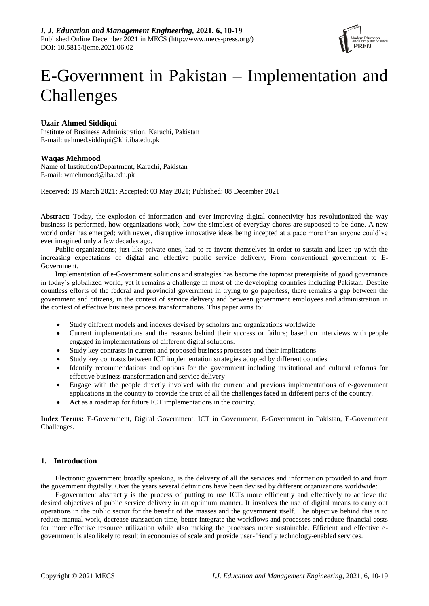

# E-Government in Pakistan – Implementation and Challenges

# **Uzair Ahmed Siddiqui**

Institute of Business Administration, Karachi, Pakistan E-mail: uahmed.siddiqui@khi.iba.edu.pk

# **Waqas Mehmood**

Name of Institution/Department, Karachi, Pakistan E-mail: wmehmood@iba.edu.pk

Received: 19 March 2021; Accepted: 03 May 2021; Published: 08 December 2021

**Abstract:** Today, the explosion of information and ever-improving digital connectivity has revolutionized the way business is performed, how organizations work, how the simplest of everyday chores are supposed to be done. A new world order has emerged; with newer, disruptive innovative ideas being incepted at a pace more than anyone could've ever imagined only a few decades ago.

Public organizations; just like private ones, had to re-invent themselves in order to sustain and keep up with the increasing expectations of digital and effective public service delivery; From conventional government to E-Government.

Implementation of e-Government solutions and strategies has become the topmost prerequisite of good governance in today's globalized world, yet it remains a challenge in most of the developing countries including Pakistan. Despite countless efforts of the federal and provincial government in trying to go paperless, there remains a gap between the government and citizens, in the context of service delivery and between government employees and administration in the context of effective business process transformations. This paper aims to:

- Study different models and indexes devised by scholars and organizations worldwide
- Current implementations and the reasons behind their success or failure; based on interviews with people engaged in implementations of different digital solutions.
- Study key contrasts in current and proposed business processes and their implications
- Study key contrasts between ICT implementation strategies adopted by different counties
- Identify recommendations and options for the government including institutional and cultural reforms for effective business transformation and service delivery
- Engage with the people directly involved with the current and previous implementations of e-government applications in the country to provide the crux of all the challenges faced in different parts of the country.
- Act as a roadmap for future ICT implementations in the country.

**Index Terms:** E-Government, Digital Government, ICT in Government, E-Government in Pakistan, E-Government Challenges.

# **1. Introduction**

Electronic government broadly speaking, is the delivery of all the services and information provided to and from the government digitally. Over the years several definitions have been devised by different organizations worldwide:

E-government abstractly is the process of putting to use ICTs more efficiently and effectively to achieve the desired objectives of public service delivery in an optimum manner. It involves the use of digital means to carry out operations in the public sector for the benefit of the masses and the government itself. The objective behind this is to reduce manual work, decrease transaction time, better integrate the workflows and processes and reduce financial costs for more effective resource utilization while also making the processes more sustainable. Efficient and effective egovernment is also likely to result in economies of scale and provide user-friendly technology-enabled services.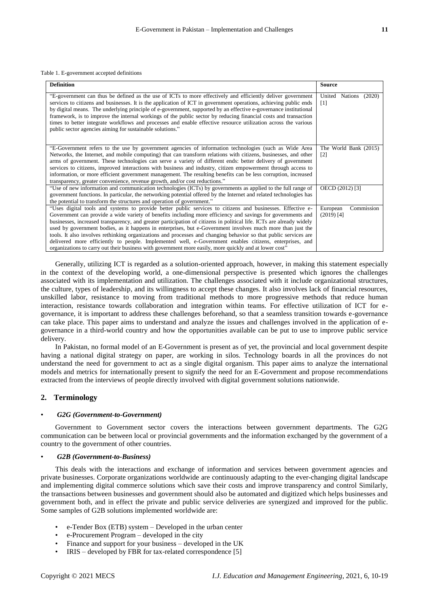Table 1. E-government accepted definitions

| <b>Definition</b>                                                                                                                                                                                                                                                                                                                                                                                                                                                                                                                                                                                                                                                                                                                                                                                        | <b>Source</b>                              |
|----------------------------------------------------------------------------------------------------------------------------------------------------------------------------------------------------------------------------------------------------------------------------------------------------------------------------------------------------------------------------------------------------------------------------------------------------------------------------------------------------------------------------------------------------------------------------------------------------------------------------------------------------------------------------------------------------------------------------------------------------------------------------------------------------------|--------------------------------------------|
| "E-government can thus be defined as the use of ICTs to more effectively and efficiently deliver government<br>services to citizens and businesses. It is the application of ICT in government operations, achieving public ends<br>by digital means. The underlying principle of e-government, supported by an effective e-governance institutional<br>framework, is to improve the internal workings of the public sector by reducing financial costs and transaction<br>times to better integrate workflows and processes and enable effective resource utilization across the various<br>public sector agencies aiming for sustainable solutions."                                                                                                                                                   | United Nations (2020)<br>$\lceil 1 \rceil$ |
| "E-Government refers to the use by government agencies of information technologies (such as Wide Area<br>Networks, the Internet, and mobile computing) that can transform relations with citizens, businesses, and other<br>arms of government. These technologies can serve a variety of different ends: better delivery of government<br>services to citizens, improved interactions with business and industry, citizen empowerment through access to<br>information, or more efficient government management. The resulting benefits can be less corruption, increased<br>transparency, greater convenience, revenue growth, and/or cost reductions."                                                                                                                                                | The World Bank (2015)<br>$\lceil 2 \rceil$ |
| "Use of new information and communication technologies (ICTs) by governments as applied to the full range of<br>government functions. In particular, the networking potential offered by the Internet and related technologies has<br>the potential to transform the structures and operation of government."                                                                                                                                                                                                                                                                                                                                                                                                                                                                                            | OECD (2012) [3]                            |
| "Uses digital tools and systems to provide better public services to citizens and businesses. Effective e-<br>Government can provide a wide variety of benefits including more efficiency and savings for governments and<br>businesses, increased transparency, and greater participation of citizens in political life. ICTs are already widely<br>used by government bodies, as it happens in enterprises, but e-Government involves much more than just the<br>tools. It also involves rethinking organizations and processes and changing behavior so that public services are<br>delivered more efficiently to people. Implemented well, e-Government enables citizens, enterprises, and<br>organizations to carry out their business with government more easily, more quickly and at lower cost" | European<br>Commission<br>$(2019)$ [4]     |

Generally, utilizing ICT is regarded as a solution-oriented approach, however, in making this statement especially in the context of the developing world, a one-dimensional perspective is presented which ignores the challenges associated with its implementation and utilization. The challenges associated with it include organizational structures, the culture, types of leadership, and its willingness to accept these changes. It also involves lack of financial resources, unskilled labor, resistance to moving from traditional methods to more progressive methods that reduce human interaction, resistance towards collaboration and integration within teams. For effective utilization of ICT for egovernance, it is important to address these challenges beforehand, so that a seamless transition towards e-governance can take place. This paper aims to understand and analyze the issues and challenges involved in the application of egovernance in a third-world country and how the opportunities available can be put to use to improve public service delivery.

In Pakistan, no formal model of an E-Government is present as of yet, the provincial and local government despite having a national digital strategy on paper, are working in silos. Technology boards in all the provinces do not understand the need for government to act as a single digital organism. This paper aims to analyze the international models and metrics for internationally present to signify the need for an E-Government and propose recommendations extracted from the interviews of people directly involved with digital government solutions nationwide.

# **2. Terminology**

#### • *G2G (Government-to-Government)*

Government to Government sector covers the interactions between government departments. The G2G communication can be between local or provincial governments and the information exchanged by the government of a country to the government of other countries.

#### • *G2B (Government-to-Business)*

This deals with the interactions and exchange of information and services between government agencies and private businesses. Corporate organizations worldwide are continuously adapting to the ever-changing digital landscape and implementing digital commerce solutions which save their costs and improve transparency and control Similarly, the transactions between businesses and government should also be automated and digitized which helps businesses and government both, and in effect the private and public service deliveries are synergized and improved for the public. Some samples of G2B solutions implemented worldwide are:

- e-Tender Box (ETB) system Developed in the urban center
- e-Procurement Program developed in the city
- Finance and support for your business developed in the UK
- $IRIS developed by FBR for tax-related correspondence [5]$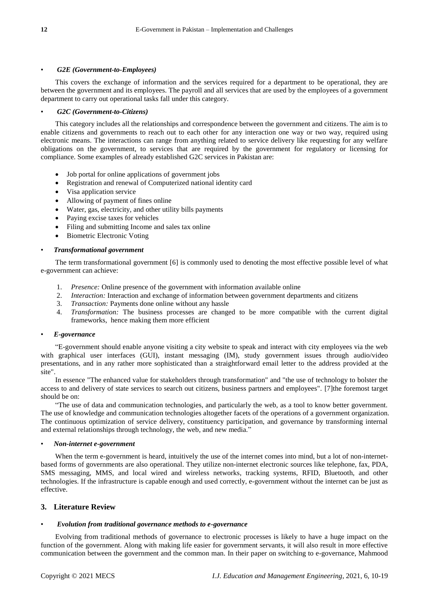### • *G2E (Government-to-Employees)*

This covers the exchange of information and the services required for a department to be operational, they are between the government and its employees. The payroll and all services that are used by the employees of a government department to carry out operational tasks fall under this category.

# • *G2C (Government-to-Citizens)*

This category includes all the relationships and correspondence between the government and citizens. The aim is to enable citizens and governments to reach out to each other for any interaction one way or two way, required using electronic means. The interactions can range from anything related to service delivery like requesting for any welfare obligations on the government, to services that are required by the government for regulatory or licensing for compliance. Some examples of already established G2C services in Pakistan are:

- Job portal for online applications of government jobs
- Registration and renewal of Computerized national identity card
- Visa application service
- Allowing of payment of fines online
- Water, gas, electricity, and other utility bills payments
- Paying excise taxes for vehicles
- Filing and submitting Income and sales tax online
- Biometric Electronic Voting

### • *Transformational government*

The term transformational government [6] is commonly used to denoting the most effective possible level of what e-government can achieve:

- 1. *Presence:* Online presence of the government with information available online
- 2. *Interaction:* Interaction and exchange of information between government departments and citizens
- 3. *Transaction:* Payments done online without any hassle
- 4. *Transformation:* The business processes are changed to be more compatible with the current digital frameworks, hence making them more efficient

### • *E-governance*

"E-government should enable anyone visiting a city website to speak and interact with city employees via the web with graphical user interfaces (GUI), instant messaging (IM), study government issues through audio/video presentations, and in any rather more sophisticated than a straightforward email letter to the address provided at the site".

In essence "The enhanced value for stakeholders through transformation" and "the use of technology to bolster the access to and delivery of state services to search out citizens, business partners and employees". [7]the foremost target should be on:

"The use of data and communication technologies, and particularly the web, as a tool to know better government. The use of knowledge and communication technologies altogether facets of the operations of a government organization. The continuous optimization of service delivery, constituency participation, and governance by transforming internal and external relationships through technology, the web, and new media."

### • *Non-internet e-government*

When the term e-government is heard, intuitively the use of the internet comes into mind, but a lot of non-internetbased forms of governments are also operational. They utilize non-internet electronic sources like telephone, fax, PDA, SMS messaging, MMS, and local wired and wireless networks, tracking systems, RFID, Bluetooth, and other technologies. If the infrastructure is capable enough and used correctly, e-government without the internet can be just as effective.

# **3. Literature Review**

### • *Evolution from traditional governance methods to e-governance*

Evolving from traditional methods of governance to electronic processes is likely to have a huge impact on the function of the government. Along with making life easier for government servants, it will also result in more effective communication between the government and the common man. In their paper on switching to e-governance, Mahmood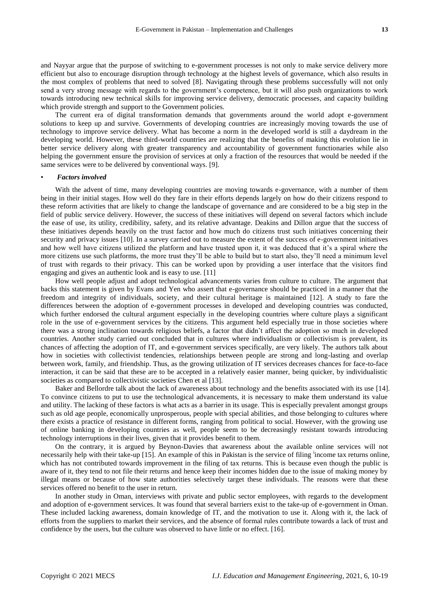and Nayyar argue that the purpose of switching to e-government processes is not only to make service delivery more efficient but also to encourage disruption through technology at the highest levels of governance, which also results in the most complex of problems that need to solved [8]. Navigating through these problems successfully will not only send a very strong message with regards to the government's competence, but it will also push organizations to work towards introducing new technical skills for improving service delivery, democratic processes, and capacity building which provide strength and support to the Government policies.

The current era of digital transformation demands that governments around the world adopt e-government solutions to keep up and survive. Governments of developing countries are increasingly moving towards the use of technology to improve service delivery. What has become a norm in the developed world is still a daydream in the developing world. However, these third-world countries are realizing that the benefits of making this evolution lie in better service delivery along with greater transparency and accountability of government functionaries while also helping the government ensure the provision of services at only a fraction of the resources that would be needed if the same services were to be delivered by conventional ways. [9].

#### • *Factors involved*

With the advent of time, many developing countries are moving towards e-governance, with a number of them being in their initial stages. How well do they fare in their efforts depends largely on how do their citizens respond to these reform activities that are likely to change the landscape of governance and are considered to be a big step in the field of public service delivery. However, the success of these initiatives will depend on several factors which include the ease of use, its utility, credibility, safety, and its relative advantage. Deakins and Dillon argue that the success of these initiatives depends heavily on the trust factor and how much do citizens trust such initiatives concerning their security and privacy issues [10]. In a survey carried out to measure the extent of the success of e-government initiatives and how well have citizens utilized the platform and have trusted upon it, it was deduced that it's a spiral where the more citizens use such platforms, the more trust they'll be able to build but to start also, they'll need a minimum level of trust with regards to their privacy. This can be worked upon by providing a user interface that the visitors find engaging and gives an authentic look and is easy to use. [11]

How well people adjust and adopt technological advancements varies from culture to culture. The argument that backs this statement is given by Evans and Yen who assert that e-governance should be practiced in a manner that the freedom and integrity of individuals, society, and their cultural heritage is maintained [12]. A study to fare the differences between the adoption of e-government processes in developed and developing countries was conducted, which further endorsed the cultural argument especially in the developing countries where culture plays a significant role in the use of e-government services by the citizens. This argument held especially true in those societies where there was a strong inclination towards religious beliefs, a factor that didn't affect the adoption so much in developed countries. Another study carried out concluded that in cultures where individualism or collectivism is prevalent, its chances of affecting the adoption of IT, and e-government services specifically, are very likely. The authors talk about how in societies with collectivist tendencies, relationships between people are strong and long-lasting and overlap between work, family, and friendship. Thus, as the growing utilization of IT services decreases chances for face-to-face interaction, it can be said that these are to be accepted in a relatively easier manner, being quicker, by individualistic societies as compared to collectivistic societies Chen et al [13].

Baker and Bellordre talk about the lack of awareness about technology and the benefits associated with its use [14]. To convince citizens to put to use the technological advancements, it is necessary to make them understand its value and utility. The lacking of these factors is what acts as a barrier in its usage. This is especially prevalent amongst groups such as old age people, economically unprosperous, people with special abilities, and those belonging to cultures where there exists a practice of resistance in different forms, ranging from political to social. However, with the growing use of online banking in developing countries as well, people seem to be decreasingly resistant towards introducing technology interruptions in their lives, given that it provides benefit to them.

On the contrary, it is argued by Beynon-Davies that awareness about the available online services will not necessarily help with their take-up [15]. An example of this in Pakistan is the service of filing income tax returns online, which has not contributed towards improvement in the filing of tax returns. This is because even though the public is aware of it, they tend to not file their returns and hence keep their incomes hidden due to the issue of making money by illegal means or because of how state authorities selectively target these individuals. The reasons were that these services offered no benefit to the user in return.

In another study in Oman, interviews with private and public sector employees, with regards to the development and adoption of e-government services. It was found that several barriers exist to the take-up of e-government in Oman. These included lacking awareness, domain knowledge of IT, and the motivation to use it. Along with it, the lack of efforts from the suppliers to market their services, and the absence of formal rules contribute towards a lack of trust and confidence by the users, but the culture was observed to have little or no effect. [16].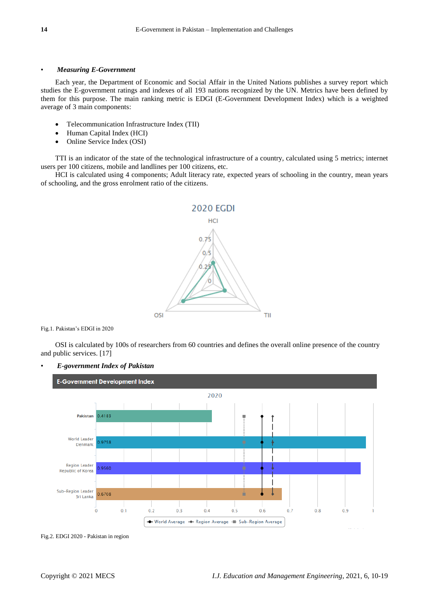# • *Measuring E-Government*

Each year, the Department of Economic and Social Affair in the United Nations publishes a survey report which studies the E-government ratings and indexes of all 193 nations recognized by the UN. Metrics have been defined by them for this purpose. The main ranking metric is EDGI (E-Government Development Index) which is a weighted average of 3 main components:

- Telecommunication Infrastructure Index (TII)
- Human Capital Index (HCI)
- Online Service Index (OSI)

TTI is an indicator of the state of the technological infrastructure of a country, calculated using 5 metrics; internet users per 100 citizens, mobile and landlines per 100 citizens, etc.

HCI is calculated using 4 components; Adult literacy rate, expected years of schooling in the country, mean years of schooling, and the gross enrolment ratio of the citizens.



Fig.1. Pakistan's EDGI in 2020

OSI is calculated by 100s of researchers from 60 countries and defines the overall online presence of the country and public services. [17]



• *E-government Index of Pakistan*

Fig.2. EDGI 2020 - Pakistan in region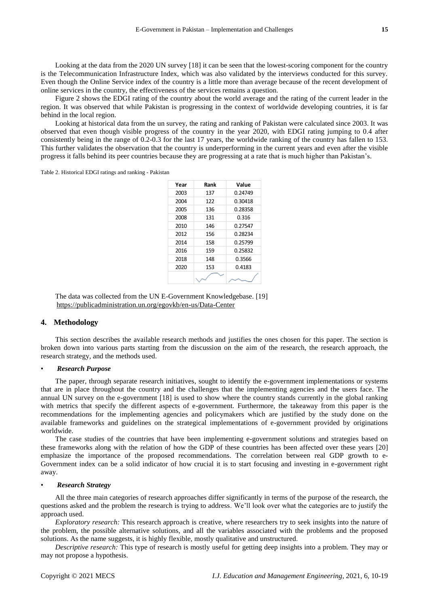Looking at the data from the 2020 UN survey [18] it can be seen that the lowest-scoring component for the country is the Telecommunication Infrastructure Index, which was also validated by the interviews conducted for this survey. Even though the Online Service index of the country is a little more than average because of the recent development of online services in the country, the effectiveness of the services remains a question.

Figure 2 shows the EDGI rating of the country about the world average and the rating of the current leader in the region. It was observed that while Pakistan is progressing in the context of worldwide developing countries, it is far behind in the local region.

Looking at historical data from the un survey, the rating and ranking of Pakistan were calculated since 2003. It was observed that even though visible progress of the country in the year 2020, with EDGI rating jumping to 0.4 after consistently being in the range of 0.2-0.3 for the last 17 years, the worldwide ranking of the country has fallen to 153. This further validates the observation that the country is underperforming in the current years and even after the visible progress it falls behind its peer countries because they are progressing at a rate that is much higher than Pakistan's.

Table 2. Historical EDGI ratings and ranking - Pakistan

| Year | Rank | Value   |
|------|------|---------|
| 2003 | 137  | 0.24749 |
| 2004 | 122  | 0.30418 |
| 2005 | 136  | 0.28358 |
| 2008 | 131  | 0.316   |
| 2010 | 146  | 0.27547 |
| 2012 | 156  | 0.28234 |
| 2014 | 158  | 0.25799 |
| 2016 | 159  | 0.25832 |
| 2018 | 148  | 0.3566  |
| 2020 | 153  | 0.4183  |
|      |      |         |

The data was collected from the UN E-Government Knowledgebase. [19] <https://publicadministration.un.org/egovkb/en-us/Data-Center>

# **4. Methodology**

This section describes the available research methods and justifies the ones chosen for this paper. The section is broken down into various parts starting from the discussion on the aim of the research, the research approach, the research strategy, and the methods used.

#### • *Research Purpose*

The paper, through separate research initiatives, sought to identify the e-government implementations or systems that are in place throughout the country and the challenges that the implementing agencies and the users face. The annual UN survey on the e-government [18] is used to show where the country stands currently in the global ranking with metrics that specify the different aspects of e-government. Furthermore, the takeaway from this paper is the recommendations for the implementing agencies and policymakers which are justified by the study done on the available frameworks and guidelines on the strategical implementations of e-government provided by originations worldwide. **EXAMPLE 12** THE TRANK THE VERTURE 10001122<br>
2003 303<br>
2003 2003 2012<br>
2008 212<br>
2008 1131 0.3163<br>
2010 2016 2018<br>
2010 2016 2018<br>
2010 2016 2018<br>
2018 2018<br>
2018 2018<br>
2019 2018 2018<br>
2020 153 2018<br>
2020 153 2020<br>
2020 15

The case studies of the countries that have been implementing e-government solutions and strategies based on these frameworks along with the relation of how the GDP of these countries has been affected over these years [20] emphasize the importance of the proposed recommendations. The correlation between real GDP growth to e-Government index can be a solid indicator of how crucial it is to start focusing and investing in e-government right away.

#### • *Research Strategy*

All the three main categories of research approaches differ significantly in terms of the purpose of the research, the questions asked and the problem the research is trying to address. We'll look over what the categories are to justify the approach used.

*Exploratory research:* This research approach is creative, where researchers try to seek insights into the nature of the problem, the possible alternative solutions, and all the variables associated with the problems and the proposed solutions. As the name suggests, it is highly flexible, mostly qualitative and unstructured.

*Descriptive research:* This type of research is mostly useful for getting deep insights into a problem. They may or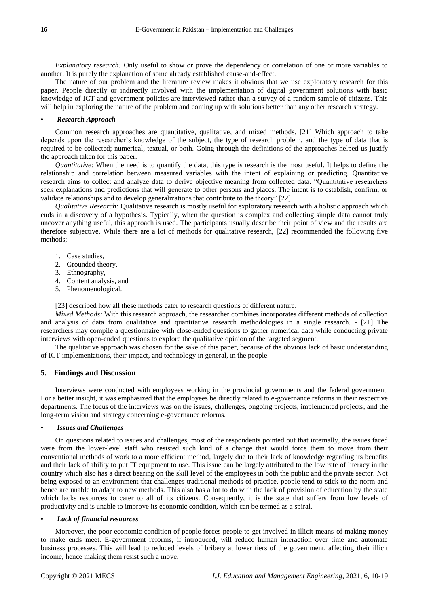*Explanatory research:* Only useful to show or prove the dependency or correlation of one or more variables to another. It is purely the explanation of some already established cause-and-effect.

The nature of our problem and the literature review makes it obvious that we use exploratory research for this paper. People directly or indirectly involved with the implementation of digital government solutions with basic knowledge of ICT and government policies are interviewed rather than a survey of a random sample of citizens. This will help in exploring the nature of the problem and coming up with solutions better than any other research strategy.

#### • *Research Approach*

Common research approaches are quantitative, qualitative, and mixed methods. [21] Which approach to take depends upon the researcher's knowledge of the subject, the type of research problem, and the type of data that is required to be collected; numerical, textual, or both. Going through the definitions of the approaches helped us justify the approach taken for this paper.

*Quantitative:* When the need is to quantify the data, this type is research is the most useful. It helps to define the relationship and correlation between measured variables with the intent of explaining or predicting. Quantitative research aims to collect and analyze data to derive objective meaning from collected data. "Quantitative researchers seek explanations and predictions that will generate to other persons and places. The intent is to establish, confirm, or validate relationships and to develop generalizations that contribute to the theory" [22]

*Qualitative Research:* Qualitative research is mostly useful for exploratory research with a holistic approach which ends in a discovery of a hypothesis. Typically, when the question is complex and collecting simple data cannot truly uncover anything useful, this approach is used. The participants usually describe their point of view and the results are therefore subjective. While there are a lot of methods for qualitative research, [22] recommended the following five methods;

- 1. Case studies,
- 2. Grounded theory,
- 3. Ethnography,
- 4. Content analysis, and
- 5. Phenomenological.

[23] described how all these methods cater to research questions of different nature.

*Mixed Methods:* With this research approach, the researcher combines incorporates different methods of collection and analysis of data from qualitative and quantitative research methodologies in a single research. - [21] The researchers may compile a questionnaire with close-ended questions to gather numerical data while conducting private interviews with open-ended questions to explore the qualitative opinion of the targeted segment.

The qualitative approach was chosen for the sake of this paper, because of the obvious lack of basic understanding of ICT implementations, their impact, and technology in general, in the people.

# **5. Findings and Discussion**

Interviews were conducted with employees working in the provincial governments and the federal government. For a better insight, it was emphasized that the employees be directly related to e-governance reforms in their respective departments. The focus of the interviews was on the issues, challenges, ongoing projects, implemented projects, and the long-term vision and strategy concerning e-governance reforms.

#### • *Issues and Challenges*

On questions related to issues and challenges, most of the respondents pointed out that internally, the issues faced were from the lower-level staff who resisted such kind of a change that would force them to move from their conventional methods of work to a more efficient method, largely due to their lack of knowledge regarding its benefits and their lack of ability to put IT equipment to use. This issue can be largely attributed to the low rate of literacy in the country which also has a direct bearing on the skill level of the employees in both the public and the private sector. Not being exposed to an environment that challenges traditional methods of practice, people tend to stick to the norm and hence are unable to adapt to new methods. This also has a lot to do with the lack of provision of education by the state which lacks resources to cater to all of its citizens. Consequently, it is the state that suffers from low levels of productivity and is unable to improve its economic condition, which can be termed as a spiral.

#### • *Lack of financial resources*

Moreover, the poor economic condition of people forces people to get involved in illicit means of making money to make ends meet. E-government reforms, if introduced, will reduce human interaction over time and automate business processes. This will lead to reduced levels of bribery at lower tiers of the government, affecting their illicit income, hence making them resist such a move.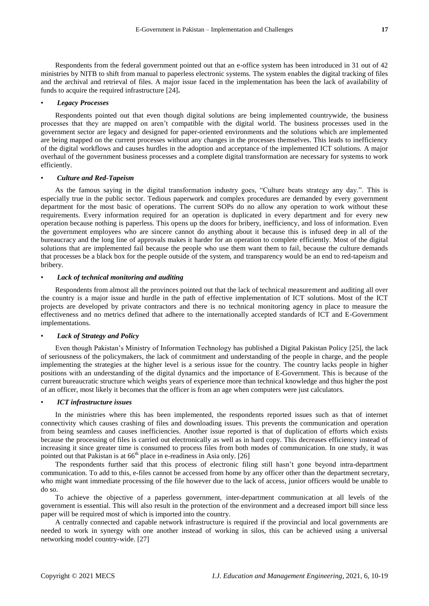Respondents from the federal government pointed out that an e-office system has been introduced in 31 out of 42 ministries by NITB to shift from manual to paperless electronic systems. The system enables the digital tracking of files and the archival and retrieval of files. A major issue faced in the implementation has been the lack of availability of funds to acquire the required infrastructure [24]**.**

#### • *Legacy Processes*

Respondents pointed out that even though digital solutions are being implemented countrywide, the business processes that they are mapped on aren't compatible with the digital world. The business processes used in the government sector are legacy and designed for paper-oriented environments and the solutions which are implemented are being mapped on the current processes without any changes in the processes themselves. This leads to inefficiency of the digital workflows and causes hurdles in the adoption and acceptance of the implemented ICT solutions. A major overhaul of the government business processes and a complete digital transformation are necessary for systems to work efficiently.

# • *Culture and Red-Tapeism*

As the famous saying in the digital transformation industry goes, "Culture beats strategy any day.". This is especially true in the public sector. Tedious paperwork and complex procedures are demanded by every government department for the most basic of operations. The current SOPs do no allow any operation to work without these requirements. Every information required for an operation is duplicated in every department and for every new operation because nothing is paperless. This opens up the doors for bribery, inefficiency, and loss of information. Even the government employees who are sincere cannot do anything about it because this is infused deep in all of the bureaucracy and the long line of approvals makes it harder for an operation to complete efficiently. Most of the digital solutions that are implemented fail because the people who use them want them to fail, because the culture demands that processes be a black box for the people outside of the system, and transparency would be an end to red-tapeism and bribery.

#### • *Lack of technical monitoring and auditing*

Respondents from almost all the provinces pointed out that the lack of technical measurement and auditing all over the country is a major issue and hurdle in the path of effective implementation of ICT solutions. Most of the ICT projects are developed by private contractors and there is no technical monitoring agency in place to measure the effectiveness and no metrics defined that adhere to the internationally accepted standards of ICT and E-Government implementations.

# • *Lack of Strategy and Policy*

Even though Pakistan's Ministry of Information Technology has published a Digital Pakistan Policy [25], the lack of seriousness of the policymakers, the lack of commitment and understanding of the people in charge, and the people implementing the strategies at the higher level is a serious issue for the country. The country lacks people in higher positions with an understanding of the digital dynamics and the importance of E-Government. This is because of the current bureaucratic structure which weighs years of experience more than technical knowledge and thus higher the post of an officer, most likely it becomes that the officer is from an age when computers were just calculators.

#### • *ICT infrastructure issues*

In the ministries where this has been implemented, the respondents reported issues such as that of internet connectivity which causes crashing of files and downloading issues. This prevents the communication and operation from being seamless and causes inefficiencies. Another issue reported is that of duplication of efforts which exists because the processing of files is carried out electronically as well as in hard copy. This decreases efficiency instead of increasing it since greater time is consumed to process files from both modes of communication. In one study, it was pointed out that Pakistan is at  $66<sup>th</sup>$  place in e-readiness in Asia only. [26]

The respondents further said that this process of electronic filing still hasn't gone beyond intra-department communication. To add to this, e-files cannot be accessed from home by any officer other than the department secretary, who might want immediate processing of the file however due to the lack of access, junior officers would be unable to do so.

To achieve the objective of a paperless government, inter-department communication at all levels of the government is essential. This will also result in the protection of the environment and a decreased import bill since less paper will be required most of which is imported into the country.

A centrally connected and capable network infrastructure is required if the provincial and local governments are needed to work in synergy with one another instead of working in silos, this can be achieved using a universal networking model country-wide. [27]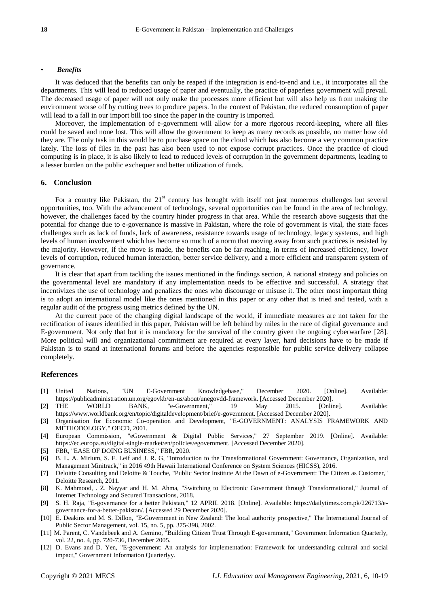#### • *Benefits*

It was deduced that the benefits can only be reaped if the integration is end-to-end and i.e., it incorporates all the departments. This will lead to reduced usage of paper and eventually, the practice of paperless government will prevail. The decreased usage of paper will not only make the processes more efficient but will also help us from making the environment worse off by cutting trees to produce papers. In the context of Pakistan, the reduced consumption of paper will lead to a fall in our import bill too since the paper in the country is imported.

Moreover, the implementation of e-government will allow for a more rigorous record-keeping, where all files could be saved and none lost. This will allow the government to keep as many records as possible, no matter how old they are. The only task in this would be to purchase space on the cloud which has also become a very common practice lately. The loss of files in the past has also been used to not expose corrupt practices. Once the practice of cloud computing is in place, it is also likely to lead to reduced levels of corruption in the government departments, leading to a lesser burden on the public exchequer and better utilization of funds.

# **6. Conclusion**

For a country like Pakistan, the  $21<sup>st</sup>$  century has brought with itself not just numerous challenges but several opportunities, too. With the advancement of technology, several opportunities can be found in the area of technology, however, the challenges faced by the country hinder progress in that area. While the research above suggests that the potential for change due to e-governance is massive in Pakistan, where the role of government is vital, the state faces challenges such as lack of funds, lack of awareness, resistance towards usage of technology, legacy systems, and high levels of human involvement which has become so much of a norm that moving away from such practices is resisted by the majority. However, if the move is made, the benefits can be far-reaching, in terms of increased efficiency, lower levels of corruption, reduced human interaction, better service delivery, and a more efficient and transparent system of governance.

It is clear that apart from tackling the issues mentioned in the findings section, A national strategy and policies on the governmental level are mandatory if any implementation needs to be effective and successful. A strategy that incentivizes the use of technology and penalizes the ones who discourage or misuse it. The other most important thing is to adopt an international model like the ones mentioned in this paper or any other that is tried and tested, with a regular audit of the progress using metrics defined by the UN.

At the current pace of the changing digital landscape of the world, if immediate measures are not taken for the rectification of issues identified in this paper, Pakistan will be left behind by miles in the race of digital governance and E-government. Not only that but it is mandatory for the survival of the country given the ongoing cyberwarfare [28]. More political will and organizational commitment are required at every layer, hard decisions have to be made if Pakistan is to stand at international forums and before the agencies responsible for public service delivery collapse completely.

#### **References**

- [1] United Nations, "UN E-Government Knowledgebase," December 2020. [Online]. Available: https://publicadministration.un.org/egovkb/en-us/about/unegovdd-framework. [Accessed December 2020].
- [2] THE WORLD BANK, "e-Government," 19 May 2015. [Online]. Available: https://www.worldbank.org/en/topic/digitaldevelopment/brief/e-government. [Accessed December 2020].
- [3] Organisation for Economic Co-operation and Development, "E-GOVERNMENT: ANALYSIS FRAMEWORK AND METHODOLOGY," OECD, 2001.
- [4] European Commission, "eGovernment & Digital Public Services," 27 September 2019. [Online]. Available: https://ec.europa.eu/digital-single-market/en/policies/egovernment. [Accessed December 2020].
- [5] FBR, "EASE OF DOING BUSINESS," FBR, 2020.
- [6] B. L. A. Mirium, S. F. Leif and J. R. G, "Introduction to the Transformational Government: Governance, Organization, and Management Minitrack," in 2016 49th Hawaii International Conference on System Sciences (HICSS), 2016.
- [7] Deloitte Consulting and Deloitte & Touche, "Public Sector Institute At the Dawn of e-Government: The Citizen as Customer," Deloitte Research, 2011.
- [8] K. Mahmood, . Z. Nayyar and H. M. Ahma, "Switching to Electronic Government through Transformational," Journal of Internet Technology and Secured Transactions, 2018.
- [9] S. H. Raja, "E-governance for a better Pakistan," 12 APRIL 2018. [Online]. Available: https://dailytimes.com.pk/226713/egovernance-for-a-better-pakistan/. [Accessed 29 December 2020].
- [10] E. Deakins and M. S. Dillon, "E-Government in New Zealand: The local authority prospective," The International Journal of Public Sector Management, vol. 15, no. 5, pp. 375-398, 2002.
- [11] M. Parent, C. Vandebeek and A. Gemino, "Building Citizen Trust Through E-government," Government Information Quarterly, vol. 22, no. 4, pp. 720-736, December 2005.
- [12] D. Evans and D. Yen, "E-government: An analysis for implementation: Framework for understanding cultural and social impact," Government Information Quarterlyy.